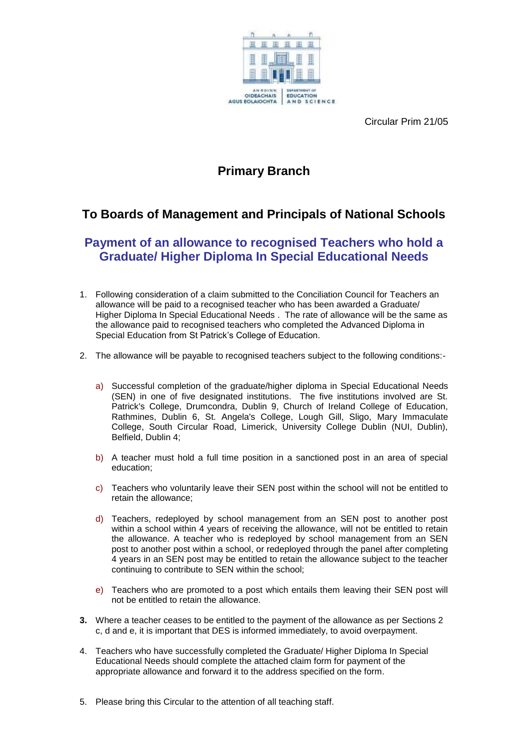

Circular Prim 21/05

## **Primary Branch**

## **To Boards of Management and Principals of National Schools**

## **Payment of an allowance to recognised Teachers who hold a Graduate/ Higher Diploma In Special Educational Needs**

- 1. Following consideration of a claim submitted to the Conciliation Council for Teachers an allowance will be paid to a recognised teacher who has been awarded a Graduate/ Higher Diploma In Special Educational Needs . The rate of allowance will be the same as the allowance paid to recognised teachers who completed the Advanced Diploma in Special Education from St Patrick's College of Education.
- 2. The allowance will be payable to recognised teachers subject to the following conditions:
	- a) Successful completion of the graduate/higher diploma in Special Educational Needs (SEN) in one of five designated institutions. The five institutions involved are St. Patrick's College, Drumcondra, Dublin 9, Church of Ireland College of Education, Rathmines, Dublin 6, St. Angela's College, Lough Gill, Sligo, Mary Immaculate College, South Circular Road, Limerick, University College Dublin (NUI, Dublin), Belfield, Dublin 4;
	- b) A teacher must hold a full time position in a sanctioned post in an area of special education;
	- c) Teachers who voluntarily leave their SEN post within the school will not be entitled to retain the allowance;
	- d) Teachers, redeployed by school management from an SEN post to another post within a school within 4 years of receiving the allowance, will not be entitled to retain the allowance. A teacher who is redeployed by school management from an SEN post to another post within a school, or redeployed through the panel after completing 4 years in an SEN post may be entitled to retain the allowance subject to the teacher continuing to contribute to SEN within the school;
	- e) Teachers who are promoted to a post which entails them leaving their SEN post will not be entitled to retain the allowance.
- **3.** Where a teacher ceases to be entitled to the payment of the allowance as per Sections 2 c, d and e, it is important that DES is informed immediately, to avoid overpayment.
- 4. Teachers who have successfully completed the Graduate/ Higher Diploma In Special Educational Needs should complete the attached claim form for payment of the appropriate allowance and forward it to the address specified on the form.
- 5. Please bring this Circular to the attention of all teaching staff.